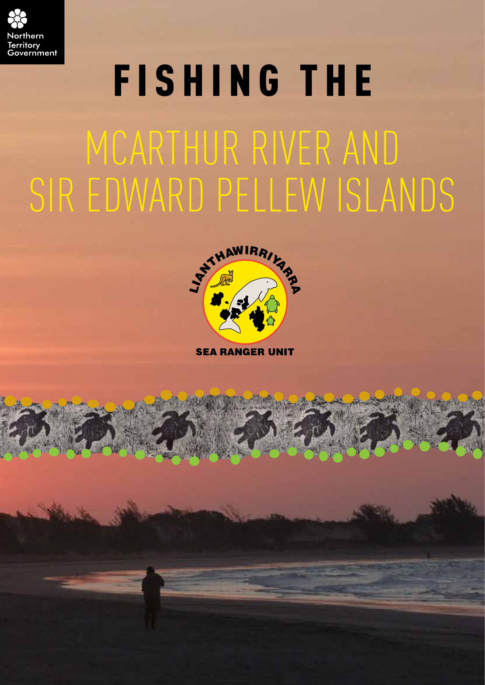

# FISHING THE McArthur River and Sir Edward Pellew Islands



**SEA RANGER UNIT**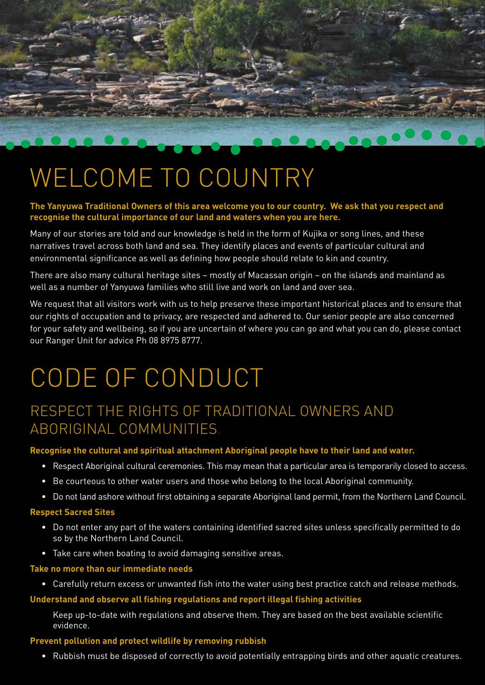

# WELCOME TO COUNTRY

#### **The Yanyuwa Traditional Owners of this area welcome you to our country. We ask that you respect and recognise the cultural importance of our land and waters when you are here.**

Many of our stories are told and our knowledge is held in the form of Kujika or song lines, and these narratives travel across both land and sea. They identify places and events of particular cultural and environmental significance as well as defining how people should relate to kin and country.

There are also many cultural heritage sites – mostly of Macassan origin – on the islands and mainland as well as a number of Yanyuwa families who still live and work on land and over sea.

We request that all visitors work with us to help preserve these important historical places and to ensure that our rights of occupation and to privacy, are respected and adhered to. Our senior people are also concerned for your safety and wellbeing, so if you are uncertain of where you can go and what you can do, please contact our Ranger Unit for advice Ph 08 8975 8777.

# CODE OF CONDUCT

### Respect the rights of Traditional Owners and Aboriginal communities.

#### **Recognise the cultural and spiritual attachment Aboriginal people have to their land and water.**

- Respect Aboriginal cultural ceremonies. This may mean that a particular area is temporarily closed to access.
- Be courteous to other water users and those who belong to the local Aboriginal community.
- Do not land ashore without first obtaining a separate Aboriginal land permit, from the Northern Land Council.

#### **Respect Sacred Sites**

- Do not enter any part of the waters containing identified sacred sites unless specifically permitted to do so by the Northern Land Council.
- Take care when boating to avoid damaging sensitive areas.

#### **Take no more than our immediate needs**

• Carefully return excess or unwanted fish into the water using best practice catch and release methods.

#### **Understand and observe all fishing regulations and report illegal fishing activities**

• Keep up-to-date with regulations and observe them. They are based on the best available scientific evidence.

#### **Prevent pollution and protect wildlife by removing rubbish**

• Rubbish must be disposed of correctly to avoid potentially entrapping birds and other aquatic creatures.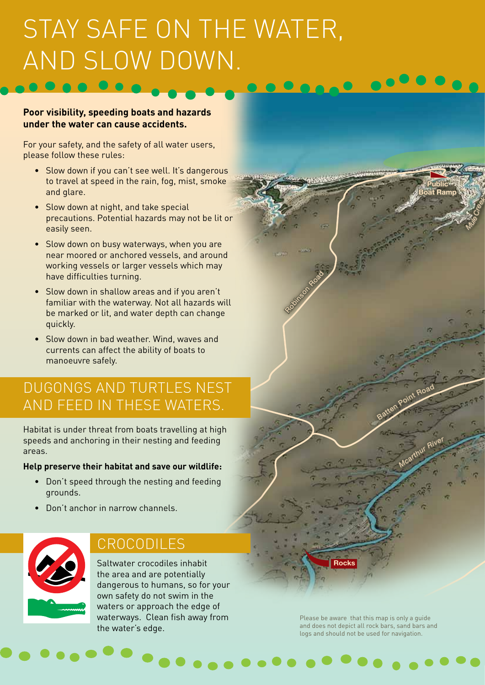# Stay safe on the water, and slow down.

#### **Poor visibility, speeding boats and hazards under the water can cause accidents.**

For your safety, and the safety of all water users, please follow these rules:

- Slow down if you can't see well. It's dangerous to travel at speed in the rain, fog, mist, smoke and glare.
- Slow down at night, and take special precautions. Potential hazards may not be lit or easily seen.
- Slow down on busy waterways, when you are near moored or anchored vessels, and around working vessels or larger vessels which may have difficulties turning.
- Slow down in shallow areas and if you aren't familiar with the waterway. Not all hazards will be marked or lit, and water depth can change quickly.
- Slow down in bad weather. Wind, waves and currents can affect the ability of boats to manoeuvre safely.

### Dugongs and turtles nest and feed in these waters.

Habitat is under threat from boats travelling at high speeds and anchoring in their nesting and feeding areas.

#### **Help preserve their habitat and save our wildlife:**

- Don't speed through the nesting and feeding grounds.
- Don't anchor in narrow channels.



### **CROCODILES**

Saltwater crocodiles inhabit the area and are potentially dangerous to humans, so for your own safety do not swim in the waters or approach the edge of waterways. Clean fish away from the water's edge.

Please be aware that this map is only a guide and does not depict all rock bars, sand bars and logs and should not be used for navigation.

**Public Boat Ramp**

*M<sup>c</sup>arthu<sup>r</sup> <sup>R</sup>ive<sup>r</sup>*

Batten Point Road

*Mule*

*Creek*

**Rocks**

Robinson

Road<br>Road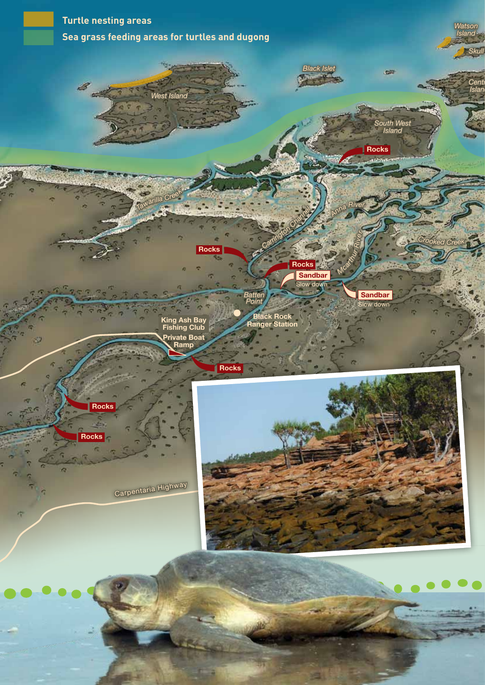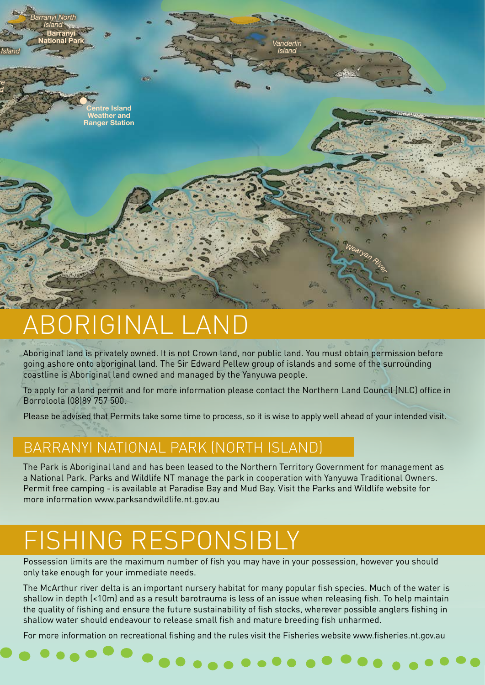

# Aboriginal Land

Aboriginal land is privately owned. It is not Crown land, nor public land. You must obtain permission before going ashore onto aboriginal land. The Sir Edward Pellew group of islands and some of the surrounding coastline is Aboriginal land owned and managed by the Yanyuwa people.

To apply for a land permit and for more information please contact the Northern Land Council (NLC) office in Borroloola (08)89 757 500.

Please be advised that Permits take some time to process, so it is wise to apply well ahead of your intended visit.

### Barranyi National Park (North Island)

The Park is Aboriginal land and has been leased to the Northern Territory Government for management as a National Park. Parks and Wildlife NT manage the park in cooperation with Yanyuwa Traditional Owners. Permit free camping - is available at Paradise Bay and Mud Bay. Visit the Parks and Wildlife website for more information www.parksandwildlife.nt.gov.au

### FISHING RESPONSIBLY

Possession limits are the maximum number of fish you may have in your possession, however you should only take enough for your immediate needs.

The McArthur river delta is an important nursery habitat for many popular fish species. Much of the water is shallow in depth (<10m) and as a result barotrauma is less of an issue when releasing fish. To help maintain the quality of fishing and ensure the future sustainability of fish stocks, wherever possible anglers fishing in shallow water should endeavour to release small fish and mature breeding fish unharmed.

For more information on recreational fishing and the rules visit the Fisheries website www.fisheries.nt.gov.au

. . . . . . . . . . . . . .